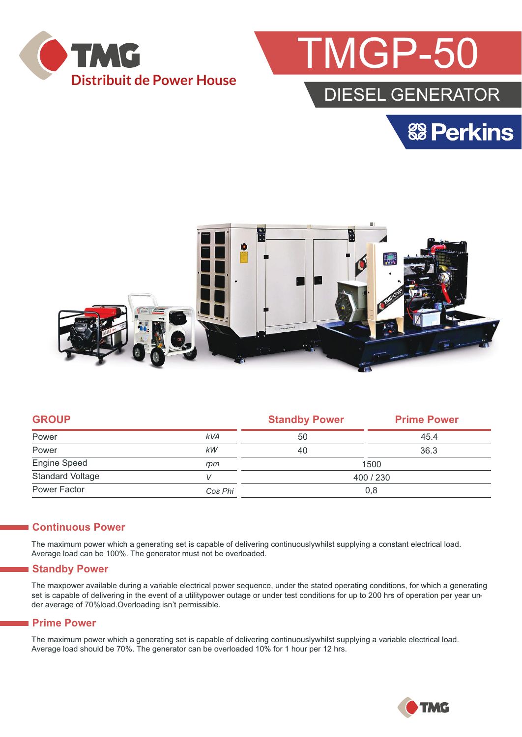



## DIESEL GENERATOR





| <b>GROUP</b>            |            | <b>Standby Power</b> | <b>Prime Power</b> |  |
|-------------------------|------------|----------------------|--------------------|--|
| Power                   | <b>kVA</b> | 50                   | 45.4               |  |
| Power                   | kW         | 40                   | 36.3               |  |
| Engine Speed            | rpm        | 1500                 |                    |  |
| <b>Standard Voltage</b> |            | 400 / 230            |                    |  |
| Power Factor            | Cos Phi    | 0,8                  |                    |  |

#### **Continuous Power**

The maximum power which a generating set is capable of delivering continuouslywhilst supplying a constant electrical load. Average load can be 100%. The generator must not be overloaded.

#### **Standby Power**

The maxpower available during a variable electrical power sequence, under the stated operating conditions, for which a generating set is capable of delivering in the event of a utilitypower outage or under test conditions for up to 200 hrs of operation per year under average of 70%load.Overloading isn't permissible.

#### **Prime Power**

The maximum power which a generating set is capable of delivering continuouslywhilst supplying a variable electrical load. Average load should be 70%. The generator can be overloaded 10% for 1 hour per 12 hrs.

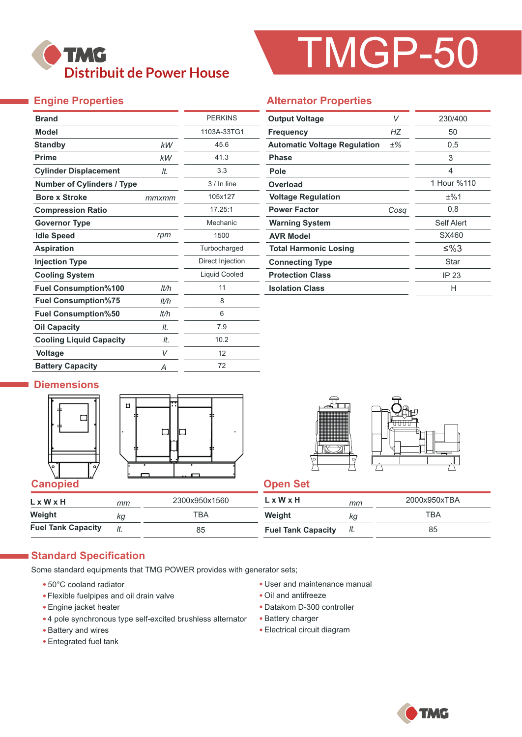# **TMG Distribuit de Power House**

# TMGP-50

### **Engine Properties**

| <b>Brand</b>                      |       | <b>PERKINS</b>   |  |
|-----------------------------------|-------|------------------|--|
| <b>Model</b>                      |       | 1103A-33TG1      |  |
| <b>Standby</b>                    | kW    | 45.6             |  |
| <b>Prime</b>                      | kW    | 41.3             |  |
| <b>Cylinder Displacement</b>      | It.   | 3.3              |  |
| <b>Number of Cylinders / Type</b> |       | $3/$ In line     |  |
| <b>Bore x Stroke</b>              | mmxmm | 105x127          |  |
| <b>Compression Ratio</b>          |       | 17.25:1          |  |
| <b>Governor Type</b>              |       | Mechanic         |  |
| <b>Idle Speed</b>                 | rpm   | 1500             |  |
| <b>Aspiration</b>                 |       | Turbocharged     |  |
| <b>Injection Type</b>             |       | Direct Injection |  |
| <b>Cooling System</b>             |       | Liquid Cooled    |  |
| <b>Fuel Consumption%100</b>       | lt/h  | 11               |  |
| <b>Fuel Consumption%75</b>        | lt/h  | 8                |  |
| <b>Fuel Consumption%50</b>        | lt/h  | 6                |  |
| <b>Oil Capacity</b>               | It.   | 7.9              |  |
| <b>Cooling Liquid Capacity</b>    | It.   | 10.2             |  |
| <b>Voltage</b>                    | V     | 12               |  |
| <b>Battery Capacity</b>           | Α     | 72               |  |

#### **Alternator Properties**

| <b>Output Voltage</b>               | V     | 230/400     |
|-------------------------------------|-------|-------------|
| <b>Frequency</b>                    | НZ    | 50          |
| <b>Automatic Voltage Regulation</b> | $±\%$ | 0,5         |
| Phase                               |       | 3           |
| Pole                                |       | 4           |
| Overload                            |       | 1 Hour %110 |
| <b>Voltage Regulation</b>           |       | ±%1         |
| <b>Power Factor</b>                 | Cosa  | 0,8         |
| <b>Warning System</b>               |       | Self Alert  |
| <b>AVR Model</b>                    |       | SX460       |
| <b>Total Harmonic Losing</b>        |       | ≤%3         |
| <b>Connecting Type</b>              |       | Star        |
| <b>Protection Class</b>             |       | IP 23       |
| <b>Isolation Class</b>              |       | н           |

#### **Diemensions**







| LxWxH                     | mm  | 2300x950x1560 | L x W x H                 | mm  | 2000x950xTBA |
|---------------------------|-----|---------------|---------------------------|-----|--------------|
| Weight                    | kq  | тва           | Weight                    | ΚG  | TBA          |
| <b>Fuel Tank Capacity</b> | It. | 85            | <b>Fuel Tank Capacity</b> | It. | 85           |

#### **Standard Specification**

Some standard equipments that TMG POWER provides with generator sets;

- 50°C cooland radiator
- Flexible fuelpipes and oil drain valve
- Engine jacket heater
- 4 pole synchronous type self-excited brushless alternator
- Battery and wires
- Entegrated fuel tank
- User and maintenance manual
- Oil and antifreeze
- Datakom D-300 controller
- Battery charger
- Electrical circuit diagram